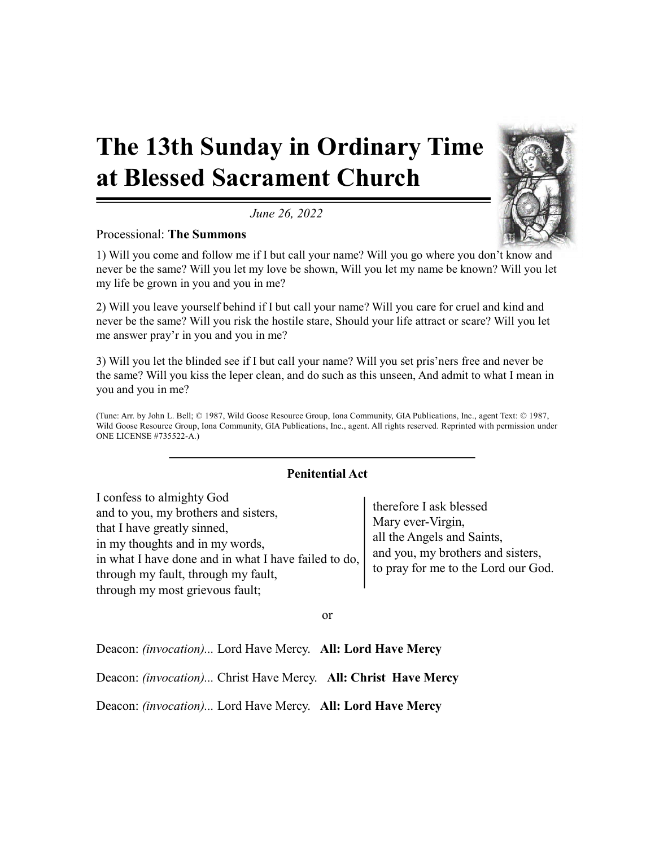# **The 13th Sunday in Ordinary Time at Blessed Sacrament Church**

*June 26, 2022*

#### Processional: **The Summons**

1) Will you come and follow me if I but call your name? Will you go where you don't know and never be the same? Will you let my love be shown, Will you let my name be known? Will you let my life be grown in you and you in me?

2) Will you leave yourself behind if I but call your name? Will you care for cruel and kind and never be the same? Will you risk the hostile stare, Should your life attract or scare? Will you let me answer pray'r in you and you in me?

3) Will you let the blinded see if I but call your name? Will you set pris'ners free and never be the same? Will you kiss the leper clean, and do such as this unseen, And admit to what I mean in you and you in me?

(Tune: Arr. by John L. Bell; © 1987, Wild Goose Resource Group, Iona Community, GIA Publications, Inc., agent Text: © 1987, Wild Goose Resource Group, Iona Community, GIA Publications, Inc., agent. All rights reserved. Reprinted with permission under ONE LICENSE #735522-A.)

**Penitential Act**

I confess to almighty God and to you, my brothers and sisters, that I have greatly sinned, in my thoughts and in my words, in what I have done and in what I have failed to do, through my fault, through my fault, through my most grievous fault;

therefore I ask blessed Mary ever-Virgin, all the Angels and Saints, and you, my brothers and sisters, to pray for me to the Lord our God.

or

Deacon: *(invocation)...* Lord Have Mercy. **All: Lord Have Mercy**

Deacon: *(invocation)...* Christ Have Mercy. **All: Christ Have Mercy**

Deacon: *(invocation)...* Lord Have Mercy. **All: Lord Have Mercy**

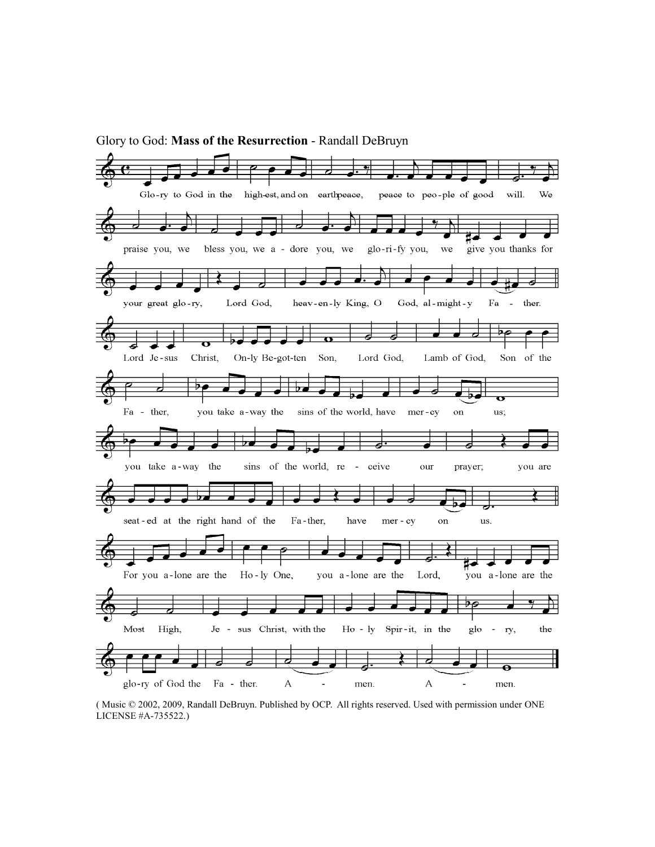

( Music © 2002, 2009, Randall DeBruyn. Published by OCP. All rights reserved. Used with permission under ONE LICENSE #A-735522.)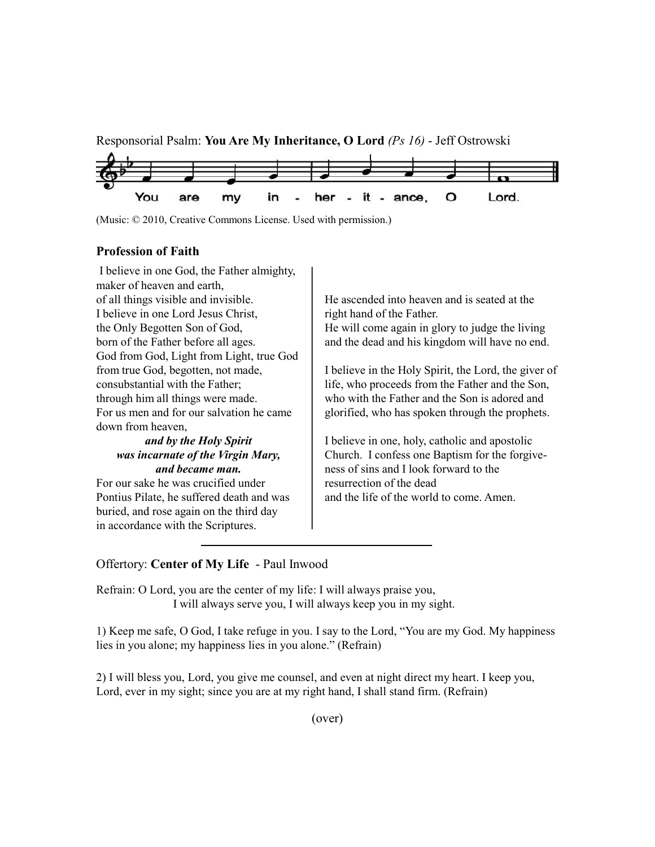

(Music: © 2010, Creative Commons License. Used with permission.)

#### **Profession of Faith**

I believe in one God, the Father almighty, maker of heaven and earth, of all things visible and invisible. I believe in one Lord Jesus Christ, the Only Begotten Son of God, born of the Father before all ages. God from God, Light from Light, true God from true God, begotten, not made, consubstantial with the Father; through him all things were made. For us men and for our salvation he came down from heaven,

### *and by the Holy Spirit was incarnate of the Virgin Mary, and became man.*

For our sake he was crucified under Pontius Pilate, he suffered death and was buried, and rose again on the third day in accordance with the Scriptures.

He ascended into heaven and is seated at the right hand of the Father. He will come again in glory to judge the living and the dead and his kingdom will have no end.

I believe in the Holy Spirit, the Lord, the giver of life, who proceeds from the Father and the Son, who with the Father and the Son is adored and glorified, who has spoken through the prophets.

I believe in one, holy, catholic and apostolic Church. I confess one Baptism for the forgiveness of sins and I look forward to the resurrection of the dead and the life of the world to come. Amen.

### Offertory: **Center of My Life** - Paul Inwood

Refrain: O Lord, you are the center of my life: I will always praise you, I will always serve you, I will always keep you in my sight.

1) Keep me safe, O God, I take refuge in you. I say to the Lord, "You are my God. My happiness lies in you alone; my happiness lies in you alone." (Refrain)

2) I will bless you, Lord, you give me counsel, and even at night direct my heart. I keep you, Lord, ever in my sight; since you are at my right hand, I shall stand firm. (Refrain)